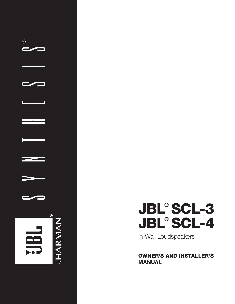

 $^\copyright$  $\blacksquare$ 

# JBL® SCL-3 JBL® SCL-4

In-Wall Loudspeakers

OWNER'S AND INSTALLER'S MANUAL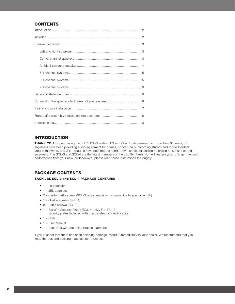## **CONTENTS**

## INTRODUCTION

THANK YOU for purchasing the JBL® SCL-3 and/or SCL-4 In-Wall loudspeakers. For more than 65 years, JBL engineers have been providing audio equipment for homes, concert halls, recording studios and movie theaters around the world, and JBL products have become the hands-down choice of leading recording artists and sound engineers. The SCL-3 and SCL-4 are the latest members of the JBL Synthesis Home Theater system. To get the best performance from your new loudspeakers, please read these instructions thoroughly.

## PACKAGE CONTENTS

#### EACH JBL SCL-3 and SCL-4 PACKAGE CONTAINS:

- 1 Loudspeaker
- 1 JBL Logo set
- 2 Center baffle screw (SCL-3 one screw is extra/spare due to special length)
- 13 Baffle screws (SCL-4)
- 8 Baffle screws (SCL-3)
- 1 Set of 4 Security Plates (SCL-4 only). For SCL-3, security plates included with pre-construction wall bracket
- $\bullet$  1 Grille
- 1 User Manual
- 1 Back Box with mounting brackets attached

If you suspect that there has been shipping damage, report it immediately to your dealer. We recommend that you keep the box and packing materials for future use.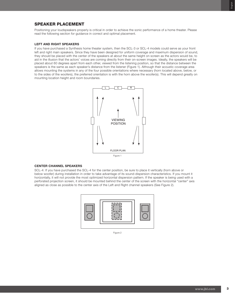## SPEAKER PLACEMENT

Positioning your loudspeakers properly is critical in order to achieve the sonic performance of a home theater. Please read the following section for guidance in correct and optimal placement.

#### **LEFT AND RIGHT SPEAKERS**

If you have purchased a Synthesis home theater system, then the SCL-3 or SCL-4 models could serve as your front left and right main speakers. Since they have been designed for uniform coverage and maximum dispersion of sound, they should be placed with the center of the speakers at about the same height on screen as the actors would be, to aid in the illusion that the actors' voices are coming directly from their on-screen images. Ideally, the speakers will be placed about 60 degrees apart from each other, viewed from the listening position, so that the distance between the speakers is the same as each speaker's distance from the listener (Figure 1). Although their acoustic coverage area allows mounting the systems in any of the four possible orientations where necessary (horn located above, below, or to the sides of the woofers), the preferred orientation is with the horn above the woofer(s). This will depend greatly on mounting location height and room boundaries.



#### **CENTER CHANNEL SPEAKERS**

SCL-4: If you have purchased the SCL-4 for the center position, be sure to place it vertically (horn above or below woofer) during installation in order to take advantage of its sound-dispersion characteristics. If you mount it horizontally, it will not provide the most optimized horizontal dispersion pattern. If the speaker is being used with a perforated projection screen, it should be mounted behind the center of the screen with the horizontal "center" axis aligned as close as possible to the center axis of the Left and Right channel speakers (See Figure 2).



Figure 2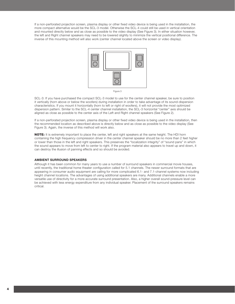If a non-perforated projection screen, plasma display or other fixed video device is being used in the installation, the more compact alternative would be the SCL-3 model. Otherwise the SCL-4 could still be used in vertical orientation and mounted directly below and as close as possible to the video display (See Figure 3). In either situation however, the left and Right channel speakers may need to be lowered slightly to minimize the vertical positional difference. The inverse of this mounting method will also work (center channel located above the screen or video display).



Figure 3

SCL-3: If you have purchased the compact SCL-3 model to use for the center channel speaker, be sure to position it vertically (horn above or below the woofers) during installation in order to take advantage of its sound-dispersion characteristics. If you mount it horizontally (horn to left or right of woofers), it will not provide the most optimized dispersion pattern. Similar to the SCL-4 center channel installation, the SCL-3 horizontal "center" axis should be aligned as close as possible to the center axis of the Left and Right channel speakers (See Figure 2).

If a non-perforated projection screen, plasma display or other fixed video device is being used in the installation, then the recommended location as described above is directly below and as close as possible to the video display (See Figure 3). Again, the inverse of this method will work also.

NOTE: It is extremely important to place the center, left and right speakers at the same height. The HDI horn containing the high frequency compression driver in the center channel speaker should be no more than 2 feet higher or lower than those in the left and right speakers. This preserves the "localization integrity" of "sound pans" in which the sound appears to move from left to center to right. If the program material also appears to travel up and down, it can destroy the illusion of panning effects and so should be avoided.

#### **AMBIENT SURROUND SPEAKERS**

Although it has been common for many years to use a number of surround speakers in commercial movie houses, until recently, the traditional home theater configuration called for 5.1 channels. The newer surround formats that are appearing in consumer audio equipment are calling for more complicated 6.1- and 7.1-channel systems now including height channel locations. The advantages of using additional speakers are many. Additional channels enable a more versatile use of directivity for a more accurate surround presentation. Also, a higher overall sound-pressure level can be achieved with less energy expenditure from any individual speaker. Placement of the surround speakers remains critical.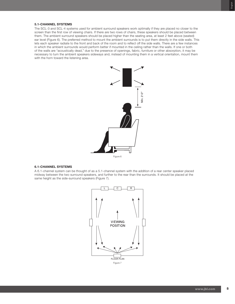## English

#### **5.1-CHANNEL SYSTEMS**

The SCL-3 and SCL-4 systems used for ambient surround speakers work optimally if they are placed no closer to the screen than the first row of viewing chairs. If there are two rows of chairs, these speakers should be placed between them. The ambient surround speakers should be placed higher than the seating area, at least 2 feet above (seated) ear level (Figure 6). The preferred method to mount the ambient surrounds is to put them directly in the side walls. This lets each speaker radiate to the front and back of the room and to reflect off the side walls. There are a few instances in which the ambient surrounds would perform better if mounted in the ceiling rather than the walls. If one or both of the walls are "acoustically dead," due to the presence of openings, fabric, furniture or other absorption, it may be necessary to turn the ambient speakers sideways and, instead of mounting them in a vertical orientation, mount them with the horn toward the listening area.



#### **6.1-CHANNEL SYSTEMS**

A 6.1-channel system can be thought of as a 5.1-channel system with the addition of a rear center speaker placed midway between the two surround speakers, and further to the rear than the surrounds. It should be placed at the same height as the side-surround speakers (Figure 7).

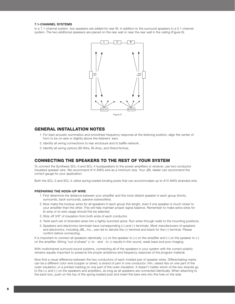#### **7.1-CHANNEL SYSTEMS**

In a 7.1-channel system, two speakers are added for rear fill, in addition to the surround speakers in a 5.1-channel system. The two additional speakers are placed on the rear wall or near the rear wall in the ceiling (Figure 8).



### GENERAL INSTALLATION NOTES

- 1. For best acoustic summation and smoothest frequency response at the listening position, align the center of horn to be on-axis or slightly above the listeners' ears.
- 2. Identify all wiring connections to rear enclosure and to baffle network.
- 3. Identify all wiring options (Bi-Wire, Bi-Amp, and Direct/Active).

## CONNECTING THE SPEAKERS TO THE REST OF YOUR SYSTEM

To connect the Synthesis SCL-3 and SCL-4 loudspeakers to the power amplifiers or receiver, use two-conductor insulated speaker wire. We recommend #14 AWG wire as a minimum size. Your JBL dealer can recommend the correct gauge for your application.

Both the SCL-3 and SCL-4 utilize spring-loaded binding posts that can accommodate up to #10 AWG stranded wire.

#### **PREPARING THE HOOK-UP WIRE**

- 1. First determine the distance between your amplifier and the most distant speaker in each group (fronts, surrounds, back surrounds, passive subwoofers).
- 2. Now make the hookup wires for all speakers in each group this length, even if one speaker is much closer to your amplifier than the other. This will help maintain proper signal balance. Remember to make extra wires for bi-amp or bi-wire usage should this be selected.
- 3. Strip off 3/8" of insulation from both ends of each conductor.
- 4. Twist each set of stranded wires into a tightly bunched spiral. Run wires through walls to the mounting positions.
- 5. Speakers and electronics terminals have corresponding (+) and (–) terminals. Most manufacturers of speakers and electronics, including JBL, Inc., use red to denote the (+) terminal and black for the (–) terminal. Please confirm before connecting.

It is important to connect all speakers identically:  $(+)$  on the speaker to  $(+)$  on the amplifier and  $(-)$  on the speaker to  $(-)$ on the amplifier. Wiring "out of phase" (+ to - and - to +) results in thin sound, weak bass and poor imaging.

With multichannel surround sound systems, connecting all of the speakers in your system with the correct polarity remains equally important to preserve the proper ambience and frequency response of the program material.

Now find a visual difference between the two conductors of each molded pair of speaker wires. Differentiating marks can be a different color wire (copper or silver); a strand of yarn in one conductor; thin, raised ribs on one part of the outer insulation; or a printed marking on one part of the outer insulation. It doesn't matter which of the two strands go to the (+) and (–) on the speakers and amplifiers, as long as all speakers are connected identically. When attaching to the back box, push on the top of the spring-loaded post and insert the bare wire into the hole on the side.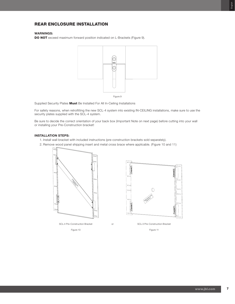## REAR ENCLOSURE INSTALLATION

#### **WARNINGS:**

**DO NOT** exceed maximum forward position indicated on L-Brackets (Figure 9).



Supplied Security Plates Must Be Installed For All In-Ceiling Installations

For safety reasons, when retrofitting the new SCL-4 system into existing IN-CEILING installations, make sure to use the security plates supplied with the SCL-4 system.

Be sure to decide the correct orientation of your back box (Important Note on next page) before cutting into your wall or installing your Pre-Construction bracket!

#### **INSTALLATION STEPS:**

- 1. Install wall bracket with included instructions (pre-construction brackets sold separately).
- 2. Remove wood panel shipping insert and metal cross brace where applicable. (Figure 10 and 11)





SCL-4 Pre-Construction Bracket





Figure 11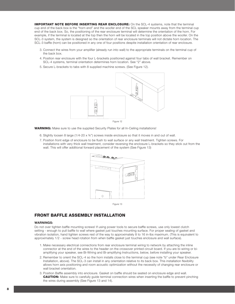**IMPORTANT NOTE BEFORE INSERTING REAR ENCLOSURE:** On the SCL-4 systems, note that the terminal cup end of the back box is the "horn end" and the woofer end of the SCL speaker mounts away from the terminal cup end of the back box. So, the positioning of the rear enclosure terminal will determine the orientation of the horn. For example, if the terminal is located at the top then the horn will be located in the top position above the woofer. On the SCL-3 system, the system is designed so the orientation of rear enclosure terminals will not dictate horn location. The SCL-3 baffle (horn) can be positioned in any one of four positions despite installation orientation of rear enclosure.

- 3. Connect the wires from your amplifier (already run into wall) to the appropriate terminals on the terminal cup of the back box.
- 4. Position rear enclosure with the four L-brackets positioned against four tabs of wall bracket. Remember on SCL-4 systems, terminal orientation determines horn location. See "2" above.
- 5. Secure L-brackets to tabs with 8 supplied machine screws. (See Figure 12).





**WARNING:** Make sure to use the supplied Security Plates for all In-Ceiling installations!

- 6. Slightly loosen 8 large (1/4-20 x ¾") screws inside enclosure so that it moves in and out of wall.
- 7. Position front edge of enclosure to be flush to wall surface or any wall treatment. Tighten screws. For installations with very thick wall treatment, consider reversing the enclosure L-brackets so they stick out from the wall. This will offer additional forward placement of the system (See Figure 13)



Figure 13

## FRONT BAFFLE ASSEMBLY INSTALLATION

#### **WARNINGS:**

Do not over tighten baffle mounting screws! If using power tools to secure baffle screws, use only lowest clutch setting - enough to pull baffle to wall where gasket just touches mounting surface. For proper sealing of gasket and vibration isolation, hand tighten screws rest of the way to approximately 8 to 16 in-lbs maximum. (This is equivalent to approximately 1/2 - screw head rotation from when baffle gasket just touches enclosure and wall surface).

- 1. Make necessary electrical connections from rear enclosure terminal wiring to network by attaching the inline connector at the end of the wires to the header on the crossover printed circuit board. If you are bi-wiring or biamplifying your speaker, see Bi-Wiring and Bi-amplifying Instructions, below, before installing your speaker.
- 2. Remember to orient the SCL-4 so the horn installs close to the terminal cup (see note "b" under Rear Enclosure Installation, above). The SCL-3 can install in any orientation relative to its back box. This installation flexibility allows horn axis positioning and room acoustic optimization without the necessity of changing rear enclosure or wall bracket orientation.
- 3. Position Baffle assembly into enclosure. Gasket on baffle should be seated on enclosure edge and wall. CAUTION: Make sure to carefully guide terminal connection wires when inserting the baffle to prevent pinching the wires during assembly (See Figure 13 and 14).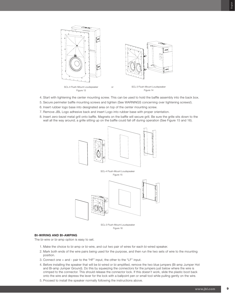

- 4. Start with tightening the center mounting screw. This can be used to hold the baffle assembly into the back box.
- 5. Secure perimeter baffle mounting screws and tighten (See WARNINGS concerning over tightening screws!).
- 6. Insert rubber logo base into designated area on top of the center mounting screw.
- 7. Remove JBL Logo adhesive back and insert Logo into rubber base with proper orientation.
- 8. Insert zero-bezel metal grill onto baffle. Magnets on the baffle will secure grill. Be sure the grille sits down to the wall all the way around; a grille sitting up on the baffle could fall off during operation (See Figure 15 and 16).



SCL-4 Flush-Mount Loudspeaker Figure 15



Figure 16

## **BI-WIRING AND BI-AMPING**

The bi-wire or bi-amp option is easy to set.

- 1. Make the choice to bi-amp or bi-wire, and cut two pair of wires for each bi-wired speaker.
- 2. Mark both ends of the wire pairs being used for the purpose, and then run the two sets of wire to the mounting position.
- 3. Connect one + and pair to the "HF" input, the other to the "LF" input.
- 4. Before installing the speaker that will be bi-wired or bi-amplified, remove the two blue jumpers (Bi-amp Jumper Hot and Bi-amp Jumper Ground). Do this by squeezing the connectors for the jumpers just below where the wire is crimped to the connector. This should release the connector lock. If this doesn't work, slide the plastic boot back onto the wire and depress the lever for the lock with a ballpoint pen or small tool while pulling gently on the wire.
- 5. Proceed to install the speaker normally following the instructions above.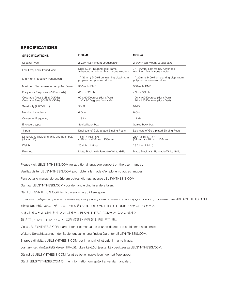## SPECIFICATIONS

| <b>SPECIFICATIONS</b>                                                 | SCL-3                                                                   | SCL-4                                                                |
|-----------------------------------------------------------------------|-------------------------------------------------------------------------|----------------------------------------------------------------------|
| Speaker Type:                                                         | 2-way Flush-Mount Loudspeaker                                           | 2-way Flush-Mount Loudspeaker                                        |
| Low Frequency Transducer:                                             | Dual 5.25" (130mm) cast-frame,<br>Advanced Aluminum Matrix cone woofers | 7" (180mm) cast-frame, Advanced<br>Aluminum Matrix cone woofer       |
| Mid/High Frequency Transducer:                                        | 1" (25mm) 2409H annular ring diaphragm<br>polymer compression driver    | 1" (25mm) 2409H annular ring diaphragm<br>polymer compression driver |
| Maximum Recommended Amplifier Power:                                  | 300 watts RMS                                                           | 300 watts RMS                                                        |
| Frequency Response (-6dB on-axis):                                    | 65Hz - 33kHz                                                            | 45Hz - 33kHz                                                         |
| Coverage Area(-6dB @ 20KHz):<br>Coverage Area (-6dB @10KHz):          | 90 x 60 Degrees (Hor x Vert)<br>110 x 90 Degrees (Hor x Vert)           | 100 x 100 Degrees (Hor x Vert)<br>120 x 120 Degrees (Hor x Vert)     |
| Sensitivity (2.83V@1m):                                               | 91dB                                                                    | 91dB                                                                 |
| Nominal Impedance:                                                    | 6 Ohm                                                                   | 6 Ohm                                                                |
| Crossover Frequency:                                                  | $1.3$ kHz                                                               | $1.3$ kHz                                                            |
| Enclosure type:                                                       | Sealed back box                                                         | Sealed back box                                                      |
| Inputs:                                                               | Dual sets of Gold-plated Binding Posts                                  | Dual sets of Gold-plated Binding Posts                               |
| Dimensions (including grille and back box)<br>$(H \times W \times D)$ | $16.5" \times 16.5" \times 6"$<br>(418mm x 418mm x 153mm)               | 25.4" x 16.47" x 4"<br>(644mm x 418mm x 102mm)                       |
| Weight:                                                               | 25.4 lb (11.5 kg)                                                       | 28.2 lb (12.8 kg)                                                    |
| Finishes:                                                             | Matte Black with Paintable White Grille                                 | Matte Black with Paintable White Grille                              |

Please visit JBLSYNTHESIS.COM for additional language support on the user manual.

Veuillez visiter JBLSYNTHESIS.COM pour obtenir le mode d'emploi en d'autres langues.

Para obter o manual do usuário em outros idiomas, acesse JBLSYNTHESIS.COM

Ga naar JBLSYNTHESIS.COM voor de handleiding in andere talen.

Gå til JBLSYNTHESIS.COM for bruksanvisning på flere språk.

Если вам требуется дополнительные версии руководства пользователя на других языках, посетите сайт JBLSYNTHESIS.COM.

別の言語に対応したユーザーマニュアルを読むには、JBL SYNTHESIS.COMにアクセスしてください。

사용자 설명서에 대한 추가 언어 지원은 JBLSYNTHESIS.COM에서 확인하십시오

请访问 JBLSYNTHESIS.COM 以获取其他语言版本的用户手册。

Visita JBLSYNTHESIS.COM para obtener el manual de usuario de soporte en idiomas adicionales.

Weitere Sprachfassungen der Bedienungsanleitung findest Du unter JBLSYNTHESIS.COM.

Si prega di visitare JBLSYNTHESIS.COM per i manuali di istruzioni in altre lingue.

Jos tarvitset ylimääräistä kieleen liittyvää tukea käyttöohjeesta, käy osoitteessa JBLSYNTHESIS.COM.

Gå ind på JBLSYNTHESIS.COM for at se betjeningsvejledningen på flere sprog.

Gå till JBLSYNTHESIS.COM för mer information om språk i användarmanualen.